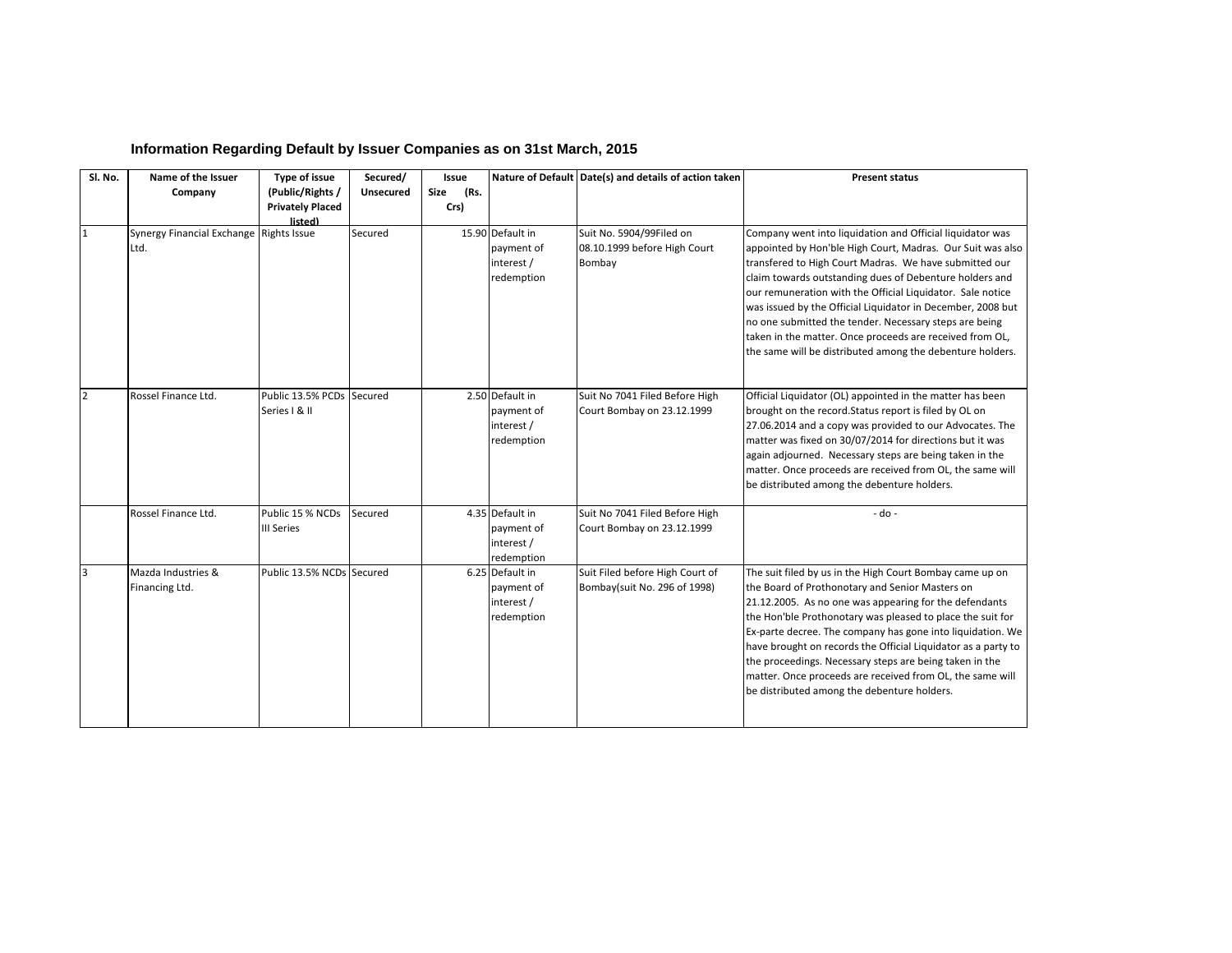| Sl. No.        | Name of the Issuer                              | Type of issue                                          | Secured/  | <b>Issue</b>         |                                                            | Nature of Default Date(s) and details of action taken              | <b>Present status</b>                                                                                                                                                                                                                                                                                                                                                                                                                                                                                                                                        |
|----------------|-------------------------------------------------|--------------------------------------------------------|-----------|----------------------|------------------------------------------------------------|--------------------------------------------------------------------|--------------------------------------------------------------------------------------------------------------------------------------------------------------------------------------------------------------------------------------------------------------------------------------------------------------------------------------------------------------------------------------------------------------------------------------------------------------------------------------------------------------------------------------------------------------|
|                | Company                                         | (Public/Rights /<br><b>Privately Placed</b><br>listed) | Unsecured | (Rs.<br>Size<br>Crs) |                                                            |                                                                    |                                                                                                                                                                                                                                                                                                                                                                                                                                                                                                                                                              |
| $\mathbf{1}$   | Synergy Financial Exchange Rights Issue<br>Ltd. |                                                        | Secured   |                      | 15.90 Default in<br>payment of<br>interest /<br>redemption | Suit No. 5904/99Filed on<br>08.10.1999 before High Court<br>Bombay | Company went into liquidation and Official liquidator was<br>appointed by Hon'ble High Court, Madras. Our Suit was also<br>transfered to High Court Madras. We have submitted our<br>claim towards outstanding dues of Debenture holders and<br>our remuneration with the Official Liquidator. Sale notice<br>was issued by the Official Liquidator in December, 2008 but<br>no one submitted the tender. Necessary steps are being<br>taken in the matter. Once proceeds are received from OL,<br>the same will be distributed among the debenture holders. |
| $\overline{2}$ | Rossel Finance Ltd.                             | Public 13.5% PCDs<br>Series   & II                     | Secured   |                      | 2.50 Default in<br>payment of<br>interest /<br>redemption  | Suit No 7041 Filed Before High<br>Court Bombay on 23.12.1999       | Official Liquidator (OL) appointed in the matter has been<br>brought on the record. Status report is filed by OL on<br>27.06.2014 and a copy was provided to our Advocates. The<br>matter was fixed on 30/07/2014 for directions but it was<br>again adjourned. Necessary steps are being taken in the<br>matter. Once proceeds are received from OL, the same will<br>be distributed among the debenture holders.                                                                                                                                           |
|                | Rossel Finance Ltd.                             | Public 15 % NCDs<br><b>III Series</b>                  | Secured   |                      | 4.35 Default in<br>payment of<br>interest /<br>redemption  | Suit No 7041 Filed Before High<br>Court Bombay on 23.12.1999       | $-do -$                                                                                                                                                                                                                                                                                                                                                                                                                                                                                                                                                      |
| 3              | Mazda Industries &<br>Financing Ltd.            | Public 13.5% NCDs Secured                              |           |                      | 6.25 Default in<br>payment of<br>interest /<br>redemption  | Suit Filed before High Court of<br>Bombay(suit No. 296 of 1998)    | The suit filed by us in the High Court Bombay came up on<br>the Board of Prothonotary and Senior Masters on<br>21.12.2005. As no one was appearing for the defendants<br>the Hon'ble Prothonotary was pleased to place the suit for<br>Ex-parte decree. The company has gone into liquidation. We<br>have brought on records the Official Liquidator as a party to<br>the proceedings. Necessary steps are being taken in the<br>matter. Once proceeds are received from OL, the same will<br>be distributed among the debenture holders.                    |

## **Information Regarding Default by Issuer Companies as on 31st March, 2015**